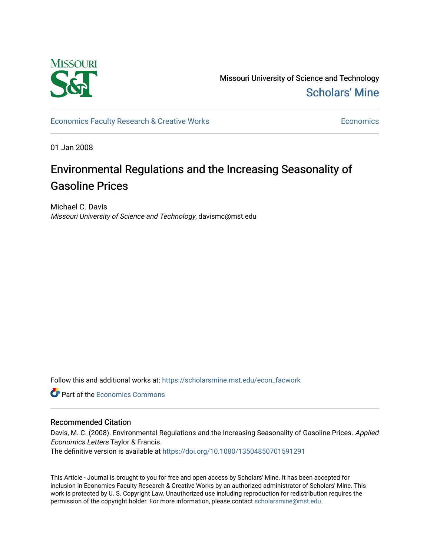

Missouri University of Science and Technology [Scholars' Mine](https://scholarsmine.mst.edu/) 

[Economics Faculty Research & Creative Works](https://scholarsmine.mst.edu/econ_facwork) **Economics** Economics

01 Jan 2008

# Environmental Regulations and the Increasing Seasonality of Gasoline Prices

Michael C. Davis Missouri University of Science and Technology, davismc@mst.edu

Follow this and additional works at: [https://scholarsmine.mst.edu/econ\\_facwork](https://scholarsmine.mst.edu/econ_facwork?utm_source=scholarsmine.mst.edu%2Fecon_facwork%2F13&utm_medium=PDF&utm_campaign=PDFCoverPages)

**C** Part of the [Economics Commons](http://network.bepress.com/hgg/discipline/340?utm_source=scholarsmine.mst.edu%2Fecon_facwork%2F13&utm_medium=PDF&utm_campaign=PDFCoverPages)

#### Recommended Citation

Davis, M. C. (2008). Environmental Regulations and the Increasing Seasonality of Gasoline Prices. Applied Economics Letters Taylor & Francis. The definitive version is available at <https://doi.org/10.1080/13504850701591291>

This Article - Journal is brought to you for free and open access by Scholars' Mine. It has been accepted for inclusion in Economics Faculty Research & Creative Works by an authorized administrator of Scholars' Mine. This work is protected by U. S. Copyright Law. Unauthorized use including reproduction for redistribution requires the permission of the copyright holder. For more information, please contact [scholarsmine@mst.edu](mailto:scholarsmine@mst.edu).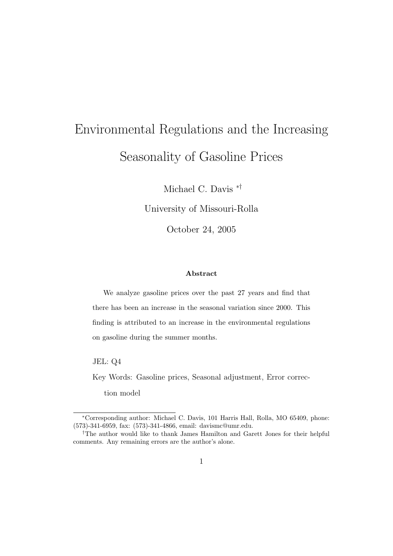# Environmental Regulations and the Increasing Seasonality of Gasoline Prices

Michael C. Davis ∗†

University of Missouri-Rolla

October 24, 2005

#### Abstract

We analyze gasoline prices over the past 27 years and find that there has been an increase in the seasonal variation since 2000. This finding is attributed to an increase in the environmental regulations on gasoline during the summer months.

JEL: Q4

Key Words: Gasoline prices, Seasonal adjustment, Error correc-

tion model

<sup>∗</sup>Corresponding author: Michael C. Davis, 101 Harris Hall, Rolla, MO 65409, phone: (573)-341-6959, fax: (573)-341-4866, email: davismc@umr.edu.

<sup>†</sup>The author would like to thank James Hamilton and Garett Jones for their helpful comments. Any remaining errors are the author's alone.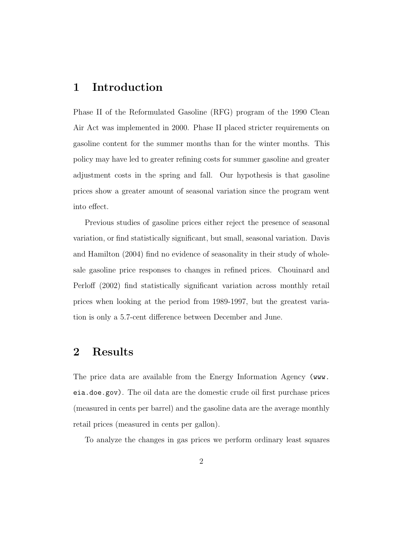## 1 Introduction

Phase II of the Reformulated Gasoline (RFG) program of the 1990 Clean Air Act was implemented in 2000. Phase II placed stricter requirements on gasoline content for the summer months than for the winter months. This policy may have led to greater refining costs for summer gasoline and greater adjustment costs in the spring and fall. Our hypothesis is that gasoline prices show a greater amount of seasonal variation since the program went into effect.

Previous studies of gasoline prices either reject the presence of seasonal variation, or find statistically significant, but small, seasonal variation. Davis and Hamilton (2004) find no evidence of seasonality in their study of wholesale gasoline price responses to changes in refined prices. Chouinard and Perloff (2002) find statistically significant variation across monthly retail prices when looking at the period from 1989-1997, but the greatest variation is only a 5.7-cent difference between December and June.

## 2 Results

The price data are available from the Energy Information Agency (www. eia.doe.gov). The oil data are the domestic crude oil first purchase prices (measured in cents per barrel) and the gasoline data are the average monthly retail prices (measured in cents per gallon).

To analyze the changes in gas prices we perform ordinary least squares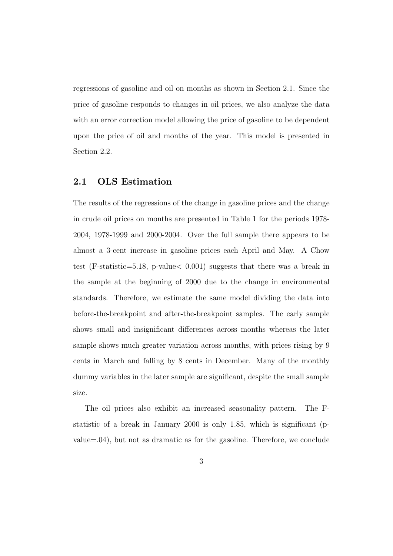regressions of gasoline and oil on months as shown in Section 2.1. Since the price of gasoline responds to changes in oil prices, we also analyze the data with an error correction model allowing the price of gasoline to be dependent upon the price of oil and months of the year. This model is presented in Section 2.2.

#### 2.1 OLS Estimation

The results of the regressions of the change in gasoline prices and the change in crude oil prices on months are presented in Table 1 for the periods 1978- 2004, 1978-1999 and 2000-2004. Over the full sample there appears to be almost a 3-cent increase in gasoline prices each April and May. A Chow test (F-statistic=5.18, p-value< 0.001) suggests that there was a break in the sample at the beginning of 2000 due to the change in environmental standards. Therefore, we estimate the same model dividing the data into before-the-breakpoint and after-the-breakpoint samples. The early sample shows small and insignificant differences across months whereas the later sample shows much greater variation across months, with prices rising by 9 cents in March and falling by 8 cents in December. Many of the monthly dummy variables in the later sample are significant, despite the small sample size.

The oil prices also exhibit an increased seasonality pattern. The Fstatistic of a break in January 2000 is only 1.85, which is significant (pvalue=.04), but not as dramatic as for the gasoline. Therefore, we conclude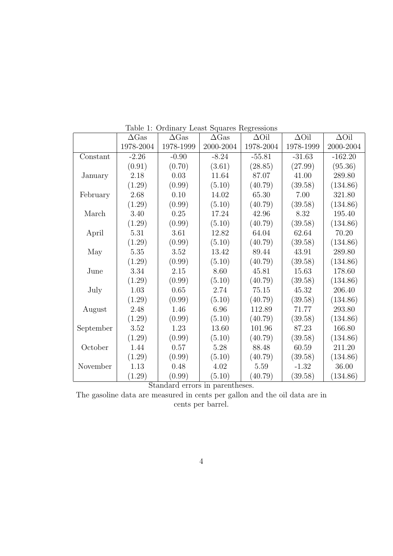|           | $\Delta$ Gas | $\Delta$ Gas | $\Delta$ Gas | $\Delta$ Oil | $\Delta$ Oil | $\Delta$ Oil |
|-----------|--------------|--------------|--------------|--------------|--------------|--------------|
|           | 1978-2004    | 1978-1999    | 2000-2004    | 1978-2004    | 1978-1999    | 2000-2004    |
| Constant  | $-2.26$      | $-0.90$      | $-8.24$      | $-55.81$     | $-31.63$     | $-162.20$    |
|           | (0.91)       | (0.70)       | (3.61)       | (28.85)      | (27.99)      | (95.36)      |
| January   | 2.18         | 0.03         | 11.64        | 87.07        | 41.00        | 289.80       |
|           | (1.29)       | (0.99)       | (5.10)       | (40.79)      | (39.58)      | (134.86)     |
| February  | 2.68         | 0.10         | 14.02        | 65.30        | 7.00         | 321.80       |
|           | (1.29)       | (0.99)       | (5.10)       | (40.79)      | (39.58)      | (134.86)     |
| March     | 3.40         | 0.25         | 17.24        | 42.96        | 8.32         | 195.40       |
|           | (1.29)       | (0.99)       | (5.10)       | (40.79)      | (39.58)      | (134.86)     |
| April     | 5.31         | 3.61         | 12.82        | 64.04        | 62.64        | 70.20        |
|           | (1.29)       | (0.99)       | (5.10)       | (40.79)      | (39.58)      | (134.86)     |
| May       | $5.35\,$     | 3.52         | 13.42        | 89.44        | 43.91        | 289.80       |
|           | (1.29)       | (0.99)       | (5.10)       | (40.79)      | (39.58)      | (134.86)     |
| June      | $3.34\,$     | 2.15         | 8.60         | 45.81        | 15.63        | 178.60       |
|           | (1.29)       | (0.99)       | (5.10)       | (40.79)      | (39.58)      | (134.86)     |
| July      | 1.03         | 0.65         | 2.74         | 75.15        | 45.32        | 206.40       |
|           | (1.29)       | (0.99)       | (5.10)       | (40.79)      | (39.58)      | (134.86)     |
| August    | 2.48         | 1.46         | 6.96         | 112.89       | 71.77        | 293.80       |
|           | (1.29)       | (0.99)       | (5.10)       | (40.79)      | (39.58)      | (134.86)     |
| September | 3.52         | 1.23         | 13.60        | 101.96       | 87.23        | 166.80       |
|           | (1.29)       | (0.99)       | (5.10)       | (40.79)      | (39.58)      | (134.86)     |
| October   | 1.44         | 0.57         | 5.28         | 88.48        | 60.59        | 211.20       |
|           | (1.29)       | (0.99)       | (5.10)       | (40.79)      | (39.58)      | (134.86)     |
| November  | 1.13         | 0.48         | 4.02         | 5.59         | $-1.32$      | 36.00        |
|           | (1.29)       | (0.99)       | (5.10)       | (40.79)      | (39.58)      | (134.86)     |

Table 1: Ordinary Least Squares Regressions

Standard errors in parentheses.

The gasoline data are measured in cents per gallon and the oil data are in cents per barrel.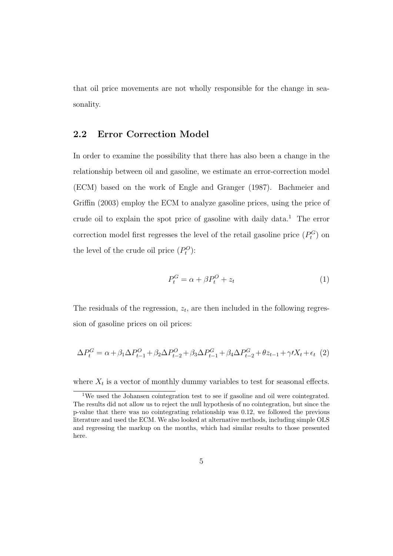that oil price movements are not wholly responsible for the change in seasonality.

### 2.2 Error Correction Model

In order to examine the possibility that there has also been a change in the relationship between oil and gasoline, we estimate an error-correction model (ECM) based on the work of Engle and Granger (1987). Bachmeier and Griffin (2003) employ the ECM to analyze gasoline prices, using the price of crude oil to explain the spot price of gasoline with daily data.<sup>1</sup> The error correction model first regresses the level of the retail gasoline price  $(P_t^G)$  on the level of the crude oil price  $(P_t^O)$ :

$$
P_t^G = \alpha + \beta P_t^O + z_t \tag{1}
$$

The residuals of the regression,  $z_t$ , are then included in the following regression of gasoline prices on oil prices:

$$
\Delta P_t^G = \alpha + \beta_1 \Delta P_{t-1}^O + \beta_2 \Delta P_{t-2}^O + \beta_3 \Delta P_{t-1}^G + \beta_4 \Delta P_{t-2}^G + \theta z_{t-1} + \gamma I X_t + \epsilon_t \tag{2}
$$

where  $X_t$  is a vector of monthly dummy variables to test for seasonal effects.

<sup>1</sup>We used the Johansen cointegration test to see if gasoline and oil were cointegrated. The results did not allow us to reject the null hypothesis of no cointegration, but since the p-value that there was no cointegrating relationship was 0.12, we followed the previous literature and used the ECM. We also looked at alternative methods, including simple OLS and regressing the markup on the months, which had similar results to those presented here.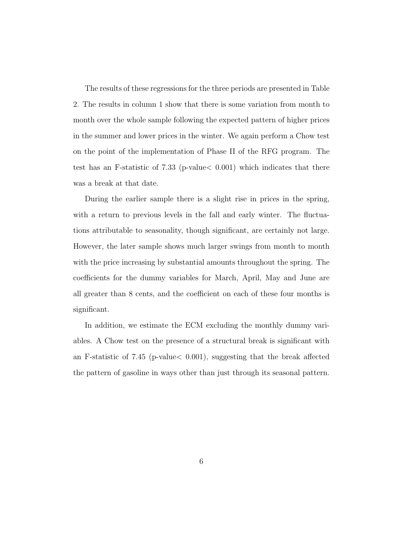The results of these regressions for the three periods are presented in Table 2. The results in column 1 show that there is some variation from month to month over the whole sample following the expected pattern of higher prices in the summer and lower prices in the winter. We again perform a Chow test on the point of the implementation of Phase II of the RFG program. The test has an F-statistic of 7.33 (p-value< 0.001) which indicates that there was a break at that date.

During the earlier sample there is a slight rise in prices in the spring, with a return to previous levels in the fall and early winter. The fluctuations attributable to seasonality, though significant, are certainly not large. However, the later sample shows much larger swings from month to month with the price increasing by substantial amounts throughout the spring. The coefficients for the dummy variables for March, April, May and June are all greater than 8 cents, and the coefficient on each of these four months is significant.

In addition, we estimate the ECM excluding the monthly dummy variables. A Chow test on the presence of a structural break is significant with an F-statistic of 7.45 (p-value< 0.001), suggesting that the break affected the pattern of gasoline in ways other than just through its seasonal pattern.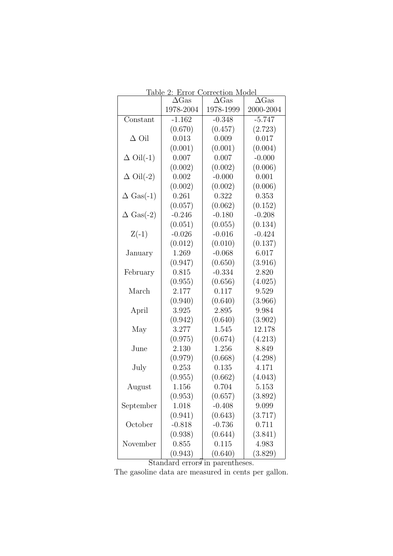| ravic 4.         | <u>LITOI</u><br>$\Delta$ Gas | <u>Correction</u> moder<br>$\Delta$ Gas | $\Delta$ Gas |
|------------------|------------------------------|-----------------------------------------|--------------|
|                  | 1978-2004                    | 1978-1999                               | 2000-2004    |
| Constant         | $-1.162$                     | $-0.348$                                | $-5.747$     |
|                  | (0.670)                      | (0.457)                                 | (2.723)      |
| $\Delta$ Oil     | 0.013                        | 0.009                                   | 0.017        |
|                  | (0.001)                      | (0.001)                                 | (0.004)      |
| $\Delta$ Oil(-1) | 0.007                        | 0.007                                   | $-0.000$     |
|                  | (0.002)                      | (0.002)                                 | (0.006)      |
| $\Delta$ Oil(-2) | 0.002                        | $-0.000$                                | 0.001        |
|                  | (0.002)                      | (0.002)                                 | (0.006)      |
| $\Delta$ Gas(-1) | 0.261                        | 0.322                                   | 0.353        |
|                  | (0.057)                      | (0.062)                                 | (0.152)      |
| $\Delta$ Gas(-2) | $-0.246$                     | $-0.180$                                | $-0.208$     |
|                  | (0.051)                      | (0.055)                                 | (0.134)      |
| $Z(-1)$          | $-0.026$                     | $-0.016$                                | $-0.424$     |
|                  | (0.012)                      | (0.010)                                 | (0.137)      |
| January          | 1.269                        | $-0.068$                                | 6.017        |
|                  | (0.947)                      | (0.650)                                 | (3.916)      |
| February         | 0.815                        | $-0.334$                                | 2.820        |
|                  | (0.955)                      | (0.656)                                 | (4.025)      |
| March            | 2.177                        | 0.117                                   | 9.529        |
|                  | (0.940)                      | (0.640)                                 | (3.966)      |
| April            | 3.925                        | 2.895                                   | 9.984        |
|                  | (0.942)                      | (0.640)                                 | (3.902)      |
| May              | 3.277                        | 1.545                                   | 12.178       |
|                  | (0.975)                      | (0.674)                                 | (4.213)      |
| June             | 2.130                        | 1.256                                   | 8.849        |
|                  | (0.979)                      | (0.668)                                 | (4.298)      |
| July             | 0.253                        | 0.135                                   | 4.171        |
|                  | (0.955)                      | (0.662)                                 | (4.043)      |
| August           | 1.156                        | 0.704                                   | 5.153        |
|                  | (0.953)                      | (0.657)                                 | (3.892)      |
| September        | 1.018                        | $-0.408$                                | 9.099        |
|                  | (0.941)                      | (0.643)                                 | (3.717)      |
| October          | $-0.818$                     | $-0.736$                                | 0.711        |
|                  | (0.938)                      | (0.644)                                 | (3.841)      |
| November         | 0.855                        | 0.115                                   | 4.983        |
|                  | (0.943)                      | (0.640)                                 | (3.829)      |

Table 2: Error Correction Model

Standard errors in parentheses.

The gasoline data are measured in cents per gallon.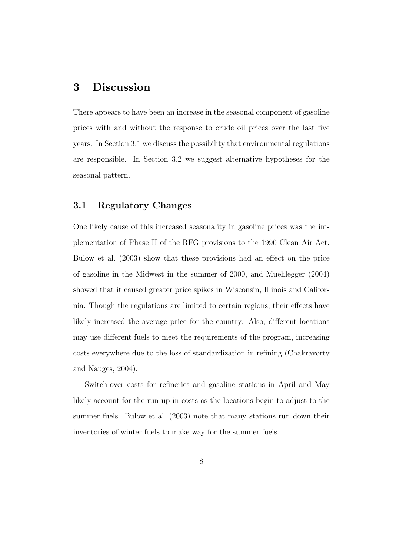## 3 Discussion

There appears to have been an increase in the seasonal component of gasoline prices with and without the response to crude oil prices over the last five years. In Section 3.1 we discuss the possibility that environmental regulations are responsible. In Section 3.2 we suggest alternative hypotheses for the seasonal pattern.

#### 3.1 Regulatory Changes

One likely cause of this increased seasonality in gasoline prices was the implementation of Phase II of the RFG provisions to the 1990 Clean Air Act. Bulow et al. (2003) show that these provisions had an effect on the price of gasoline in the Midwest in the summer of 2000, and Muehlegger (2004) showed that it caused greater price spikes in Wisconsin, Illinois and California. Though the regulations are limited to certain regions, their effects have likely increased the average price for the country. Also, different locations may use different fuels to meet the requirements of the program, increasing costs everywhere due to the loss of standardization in refining (Chakravorty and Nauges, 2004).

Switch-over costs for refineries and gasoline stations in April and May likely account for the run-up in costs as the locations begin to adjust to the summer fuels. Bulow et al. (2003) note that many stations run down their inventories of winter fuels to make way for the summer fuels.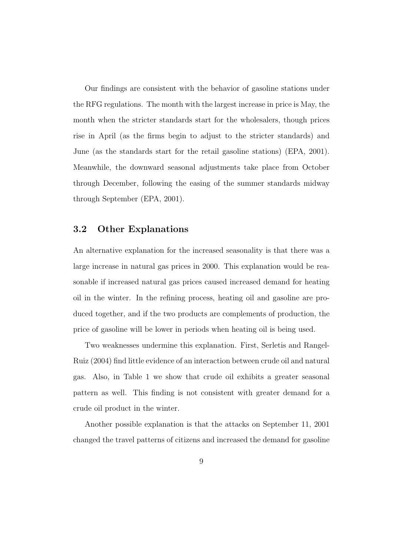Our findings are consistent with the behavior of gasoline stations under the RFG regulations. The month with the largest increase in price is May, the month when the stricter standards start for the wholesalers, though prices rise in April (as the firms begin to adjust to the stricter standards) and June (as the standards start for the retail gasoline stations) (EPA, 2001). Meanwhile, the downward seasonal adjustments take place from October through December, following the easing of the summer standards midway through September (EPA, 2001).

## 3.2 Other Explanations

An alternative explanation for the increased seasonality is that there was a large increase in natural gas prices in 2000. This explanation would be reasonable if increased natural gas prices caused increased demand for heating oil in the winter. In the refining process, heating oil and gasoline are produced together, and if the two products are complements of production, the price of gasoline will be lower in periods when heating oil is being used.

Two weaknesses undermine this explanation. First, Serletis and Rangel-Ruiz (2004) find little evidence of an interaction between crude oil and natural gas. Also, in Table 1 we show that crude oil exhibits a greater seasonal pattern as well. This finding is not consistent with greater demand for a crude oil product in the winter.

Another possible explanation is that the attacks on September 11, 2001 changed the travel patterns of citizens and increased the demand for gasoline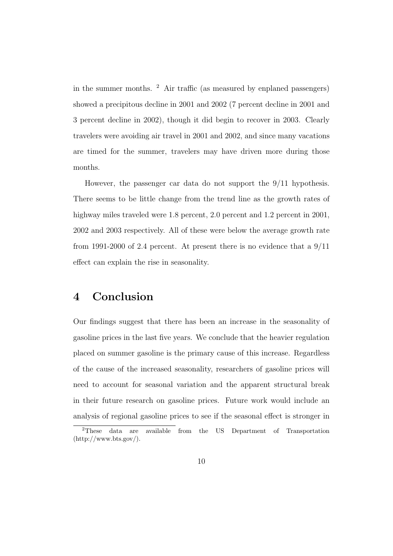in the summer months.  $\frac{2}{3}$  Air traffic (as measured by enplaned passengers) showed a precipitous decline in 2001 and 2002 (7 percent decline in 2001 and 3 percent decline in 2002), though it did begin to recover in 2003. Clearly travelers were avoiding air travel in 2001 and 2002, and since many vacations are timed for the summer, travelers may have driven more during those months.

However, the passenger car data do not support the 9/11 hypothesis. There seems to be little change from the trend line as the growth rates of highway miles traveled were 1.8 percent, 2.0 percent and 1.2 percent in 2001, 2002 and 2003 respectively. All of these were below the average growth rate from 1991-2000 of 2.4 percent. At present there is no evidence that a 9/11 effect can explain the rise in seasonality.

## 4 Conclusion

Our findings suggest that there has been an increase in the seasonality of gasoline prices in the last five years. We conclude that the heavier regulation placed on summer gasoline is the primary cause of this increase. Regardless of the cause of the increased seasonality, researchers of gasoline prices will need to account for seasonal variation and the apparent structural break in their future research on gasoline prices. Future work would include an analysis of regional gasoline prices to see if the seasonal effect is stronger in

<sup>2</sup>These data are available from the US Department of Transportation  $(\text{http://www.bts.gov/}).$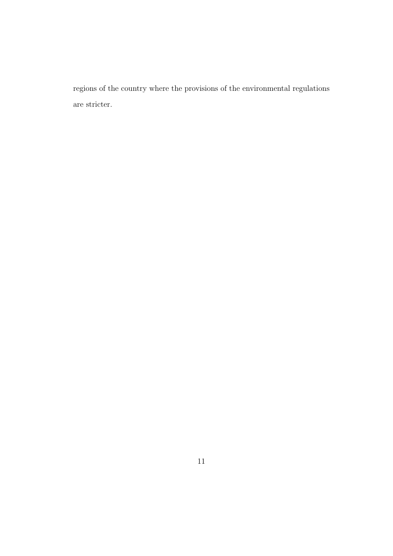regions of the country where the provisions of the environmental regulations are stricter.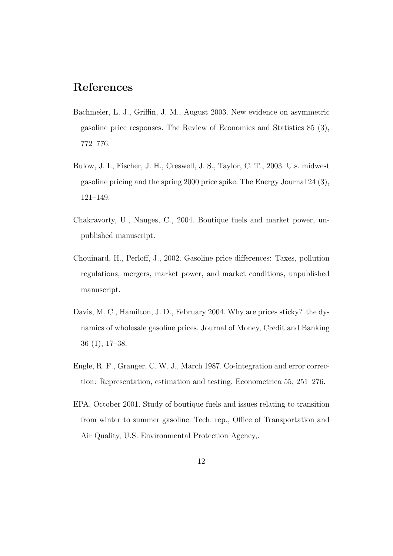## References

- Bachmeier, L. J., Griffin, J. M., August 2003. New evidence on asymmetric gasoline price responses. The Review of Economics and Statistics 85 (3), 772–776.
- Bulow, J. I., Fischer, J. H., Creswell, J. S., Taylor, C. T., 2003. U.s. midwest gasoline pricing and the spring 2000 price spike. The Energy Journal 24 (3), 121–149.
- Chakravorty, U., Nauges, C., 2004. Boutique fuels and market power, unpublished manuscript.
- Chouinard, H., Perloff, J., 2002. Gasoline price differences: Taxes, pollution regulations, mergers, market power, and market conditions, unpublished manuscript.
- Davis, M. C., Hamilton, J. D., February 2004. Why are prices sticky? the dynamics of wholesale gasoline prices. Journal of Money, Credit and Banking 36 (1), 17–38.
- Engle, R. F., Granger, C. W. J., March 1987. Co-integration and error correction: Representation, estimation and testing. Econometrica 55, 251–276.
- EPA, October 2001. Study of boutique fuels and issues relating to transition from winter to summer gasoline. Tech. rep., Office of Transportation and Air Quality, U.S. Environmental Protection Agency,.